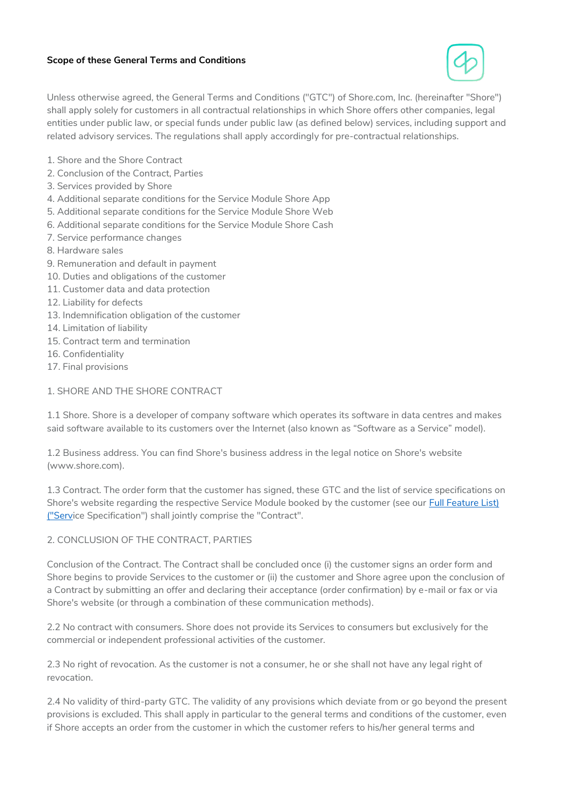## **Scope of these General Terms and Conditions**



Unless otherwise agreed, the General Terms and Conditions ("GTC") of Shore.com, Inc. (hereinafter "Shore") shall apply solely for customers in all contractual relationships in which Shore offers other companies, legal entities under public law, or special funds under public law (as defined below) services, including support and related advisory services. The regulations shall apply accordingly for pre-contractual relationships.

- 1. Shore and the Shore Contract
- 2. Conclusion of the Contract, Parties
- 3. Services provided by Shore
- 4. Additional separate conditions for the Service Module Shore App
- 5. Additional separate conditions for the Service Module Shore Web
- 6. Additional separate conditions for the Service Module Shore Cash
- 7. Service performance changes
- 8. Hardware sales
- 9. Remuneration and default in payment
- 10. Duties and obligations of the customer
- 11. Customer data and data protection
- 12. Liability for defects
- 13. Indemnification obligation of the customer
- 14. Limitation of liability
- 15. Contract term and termination
- 16. Confidentiality
- 17. Final provisions

## 1. SHORE AND THE SHORE CONTRACT

1.1 Shore. Shore is a developer of company software which operates its software in data centres and makes said software available to its customers over the Internet (also known as "Software as a Service" model).

1.2 Business address. You can find Shore's business address in the legal notice on Shore's website (www.shore.com).

1.3 Contract. The order form that the customer has signed, these GTC and the list of service specifications on Shore's website regarding the respective Service Module booked by the customer (see our [Full Feature List\)](#page-12-0)  [\("Servi](#page-12-0)ce Specification") shall jointly comprise the "Contract".

## 2. CONCLUSION OF THE CONTRACT, PARTIES

Conclusion of the Contract. The Contract shall be concluded once (i) the customer signs an order form and Shore begins to provide Services to the customer or (ii) the customer and Shore agree upon the conclusion of a Contract by submitting an offer and declaring their acceptance (order confirmation) by e-mail or fax or via Shore's website (or through a combination of these communication methods).

2.2 No contract with consumers. Shore does not provide its Services to consumers but exclusively for the commercial or independent professional activities of the customer.

2.3 No right of revocation. As the customer is not a consumer, he or she shall not have any legal right of revocation.

2.4 No validity of third-party GTC. The validity of any provisions which deviate from or go beyond the present provisions is excluded. This shall apply in particular to the general terms and conditions of the customer, even if Shore accepts an order from the customer in which the customer refers to his/her general terms and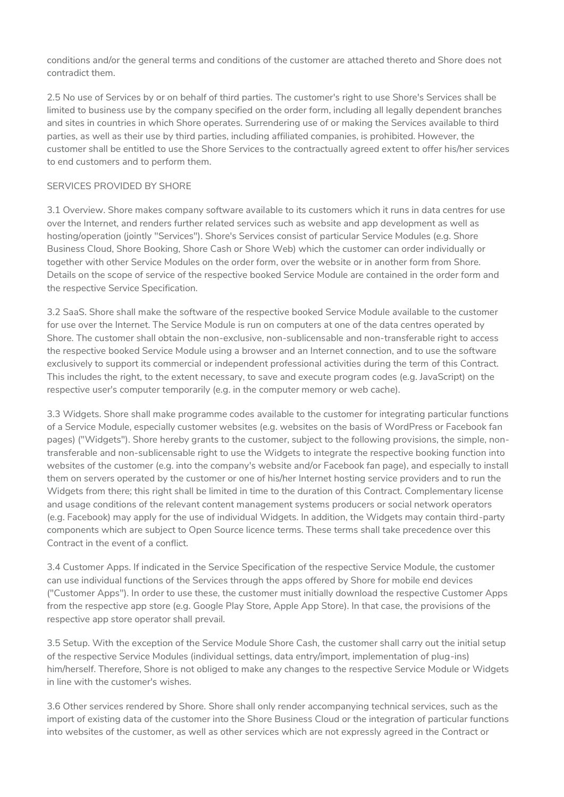conditions and/or the general terms and conditions of the customer are attached thereto and Shore does not contradict them.

2.5 No use of Services by or on behalf of third parties. The customer's right to use Shore's Services shall be limited to business use by the company specified on the order form, including all legally dependent branches and sites in countries in which Shore operates. Surrendering use of or making the Services available to third parties, as well as their use by third parties, including affiliated companies, is prohibited. However, the customer shall be entitled to use the Shore Services to the contractually agreed extent to offer his/her services to end customers and to perform them.

## SERVICES PROVIDED BY SHORE

3.1 Overview. Shore makes company software available to its customers which it runs in data centres for use over the Internet, and renders further related services such as website and app development as well as hosting/operation (jointly "Services"). Shore's Services consist of particular Service Modules (e.g. Shore Business Cloud, Shore Booking, Shore Cash or Shore Web) which the customer can order individually or together with other Service Modules on the order form, over the website or in another form from Shore. Details on the scope of service of the respective booked Service Module are contained in the order form and the respective Service Specification.

3.2 SaaS. Shore shall make the software of the respective booked Service Module available to the customer for use over the Internet. The Service Module is run on computers at one of the data centres operated by Shore. The customer shall obtain the non-exclusive, non-sublicensable and non-transferable right to access the respective booked Service Module using a browser and an Internet connection, and to use the software exclusively to support its commercial or independent professional activities during the term of this Contract. This includes the right, to the extent necessary, to save and execute program codes (e.g. JavaScript) on the respective user's computer temporarily (e.g. in the computer memory or web cache).

3.3 Widgets. Shore shall make programme codes available to the customer for integrating particular functions of a Service Module, especially customer websites (e.g. websites on the basis of WordPress or Facebook fan pages) ("Widgets"). Shore hereby grants to the customer, subject to the following provisions, the simple, nontransferable and non-sublicensable right to use the Widgets to integrate the respective booking function into websites of the customer (e.g. into the company's website and/or Facebook fan page), and especially to install them on servers operated by the customer or one of his/her Internet hosting service providers and to run the Widgets from there; this right shall be limited in time to the duration of this Contract. Complementary license and usage conditions of the relevant content management systems producers or social network operators (e.g. Facebook) may apply for the use of individual Widgets. In addition, the Widgets may contain third-party components which are subject to Open Source licence terms. These terms shall take precedence over this Contract in the event of a conflict.

3.4 Customer Apps. If indicated in the Service Specification of the respective Service Module, the customer can use individual functions of the Services through the apps offered by Shore for mobile end devices ("Customer Apps"). In order to use these, the customer must initially download the respective Customer Apps from the respective app store (e.g. Google Play Store, Apple App Store). In that case, the provisions of the respective app store operator shall prevail.

3.5 Setup. With the exception of the Service Module Shore Cash, the customer shall carry out the initial setup of the respective Service Modules (individual settings, data entry/import, implementation of plug-ins) him/herself. Therefore, Shore is not obliged to make any changes to the respective Service Module or Widgets in line with the customer's wishes.

3.6 Other services rendered by Shore. Shore shall only render accompanying technical services, such as the import of existing data of the customer into the Shore Business Cloud or the integration of particular functions into websites of the customer, as well as other services which are not expressly agreed in the Contract or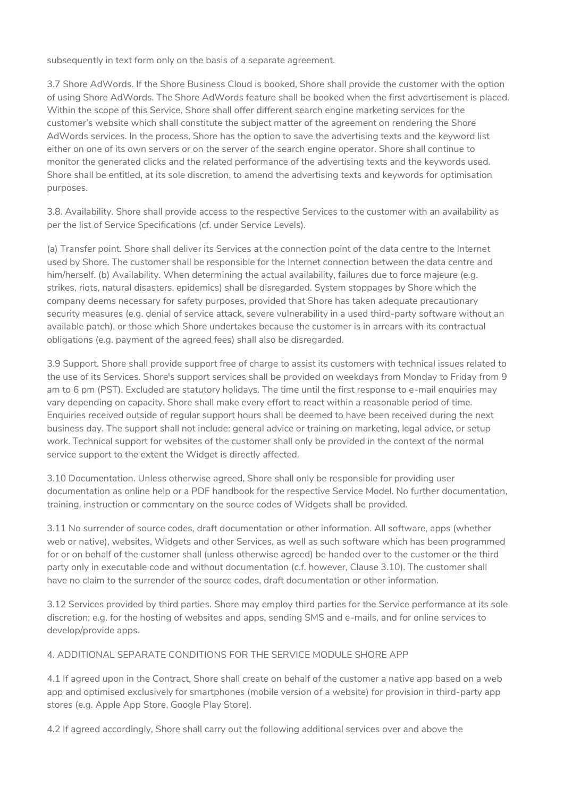subsequently in text form only on the basis of a separate agreement.

3.7 Shore AdWords. If the Shore Business Cloud is booked, Shore shall provide the customer with the option of using Shore AdWords. The Shore AdWords feature shall be booked when the first advertisement is placed. Within the scope of this Service, Shore shall offer different search engine marketing services for the customer's website which shall constitute the subject matter of the agreement on rendering the Shore AdWords services. In the process, Shore has the option to save the advertising texts and the keyword list either on one of its own servers or on the server of the search engine operator. Shore shall continue to monitor the generated clicks and the related performance of the advertising texts and the keywords used. Shore shall be entitled, at its sole discretion, to amend the advertising texts and keywords for optimisation purposes.

3.8. Availability. Shore shall provide access to the respective Services to the customer with an availability as per the list of Service Specifications (cf. under Service Levels).

(a) Transfer point. Shore shall deliver its Services at the connection point of the data centre to the Internet used by Shore. The customer shall be responsible for the Internet connection between the data centre and him/herself. (b) Availability. When determining the actual availability, failures due to force majeure (e.g. strikes, riots, natural disasters, epidemics) shall be disregarded. System stoppages by Shore which the company deems necessary for safety purposes, provided that Shore has taken adequate precautionary security measures (e.g. denial of service attack, severe vulnerability in a used third-party software without an available patch), or those which Shore undertakes because the customer is in arrears with its contractual obligations (e.g. payment of the agreed fees) shall also be disregarded.

3.9 Support. Shore shall provide support free of charge to assist its customers with technical issues related to the use of its Services. Shore's support services shall be provided on weekdays from Monday to Friday from 9 am to 6 pm (PST). Excluded are statutory holidays. The time until the first response to e-mail enquiries may vary depending on capacity. Shore shall make every effort to react within a reasonable period of time. Enquiries received outside of regular support hours shall be deemed to have been received during the next business day. The support shall not include: general advice or training on marketing, legal advice, or setup work. Technical support for websites of the customer shall only be provided in the context of the normal service support to the extent the Widget is directly affected.

3.10 Documentation. Unless otherwise agreed, Shore shall only be responsible for providing user documentation as online help or a PDF handbook for the respective Service Model. No further documentation, training, instruction or commentary on the source codes of Widgets shall be provided.

3.11 No surrender of source codes, draft documentation or other information. All software, apps (whether web or native), websites, Widgets and other Services, as well as such software which has been programmed for or on behalf of the customer shall (unless otherwise agreed) be handed over to the customer or the third party only in executable code and without documentation (c.f. however, Clause 3.10). The customer shall have no claim to the surrender of the source codes, draft documentation or other information.

3.12 Services provided by third parties. Shore may employ third parties for the Service performance at its sole discretion; e.g. for the hosting of websites and apps, sending SMS and e-mails, and for online services to develop/provide apps.

## 4. ADDITIONAL SEPARATE CONDITIONS FOR THE SERVICE MODULE SHORE APP

4.1 If agreed upon in the Contract, Shore shall create on behalf of the customer a native app based on a web app and optimised exclusively for smartphones (mobile version of a website) for provision in third-party app stores (e.g. Apple App Store, Google Play Store).

4.2 If agreed accordingly, Shore shall carry out the following additional services over and above the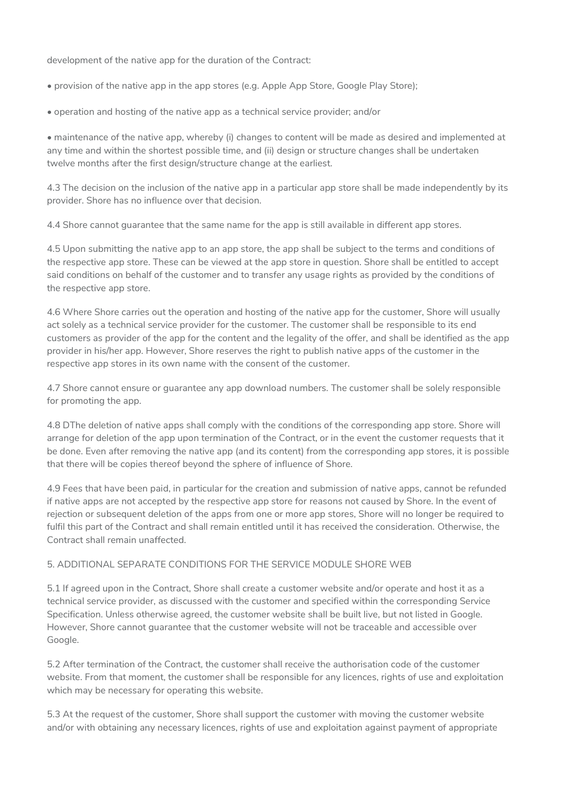development of the native app for the duration of the Contract:

• provision of the native app in the app stores (e.g. Apple App Store, Google Play Store);

• operation and hosting of the native app as a technical service provider; and/or

• maintenance of the native app, whereby (i) changes to content will be made as desired and implemented at any time and within the shortest possible time, and (ii) design or structure changes shall be undertaken twelve months after the first design/structure change at the earliest.

4.3 The decision on the inclusion of the native app in a particular app store shall be made independently by its provider. Shore has no influence over that decision.

4.4 Shore cannot guarantee that the same name for the app is still available in different app stores.

4.5 Upon submitting the native app to an app store, the app shall be subject to the terms and conditions of the respective app store. These can be viewed at the app store in question. Shore shall be entitled to accept said conditions on behalf of the customer and to transfer any usage rights as provided by the conditions of the respective app store.

4.6 Where Shore carries out the operation and hosting of the native app for the customer, Shore will usually act solely as a technical service provider for the customer. The customer shall be responsible to its end customers as provider of the app for the content and the legality of the offer, and shall be identified as the app provider in his/her app. However, Shore reserves the right to publish native apps of the customer in the respective app stores in its own name with the consent of the customer.

4.7 Shore cannot ensure or guarantee any app download numbers. The customer shall be solely responsible for promoting the app.

4.8 DThe deletion of native apps shall comply with the conditions of the corresponding app store. Shore will arrange for deletion of the app upon termination of the Contract, or in the event the customer requests that it be done. Even after removing the native app (and its content) from the corresponding app stores, it is possible that there will be copies thereof beyond the sphere of influence of Shore.

4.9 Fees that have been paid, in particular for the creation and submission of native apps, cannot be refunded if native apps are not accepted by the respective app store for reasons not caused by Shore. In the event of rejection or subsequent deletion of the apps from one or more app stores, Shore will no longer be required to fulfil this part of the Contract and shall remain entitled until it has received the consideration. Otherwise, the Contract shall remain unaffected.

## 5. ADDITIONAL SEPARATE CONDITIONS FOR THE SERVICE MODULE SHORE WEB

5.1 If agreed upon in the Contract, Shore shall create a customer website and/or operate and host it as a technical service provider, as discussed with the customer and specified within the corresponding Service Specification. Unless otherwise agreed, the customer website shall be built live, but not listed in Google. However, Shore cannot guarantee that the customer website will not be traceable and accessible over Google.

5.2 After termination of the Contract, the customer shall receive the authorisation code of the customer website. From that moment, the customer shall be responsible for any licences, rights of use and exploitation which may be necessary for operating this website.

5.3 At the request of the customer, Shore shall support the customer with moving the customer website and/or with obtaining any necessary licences, rights of use and exploitation against payment of appropriate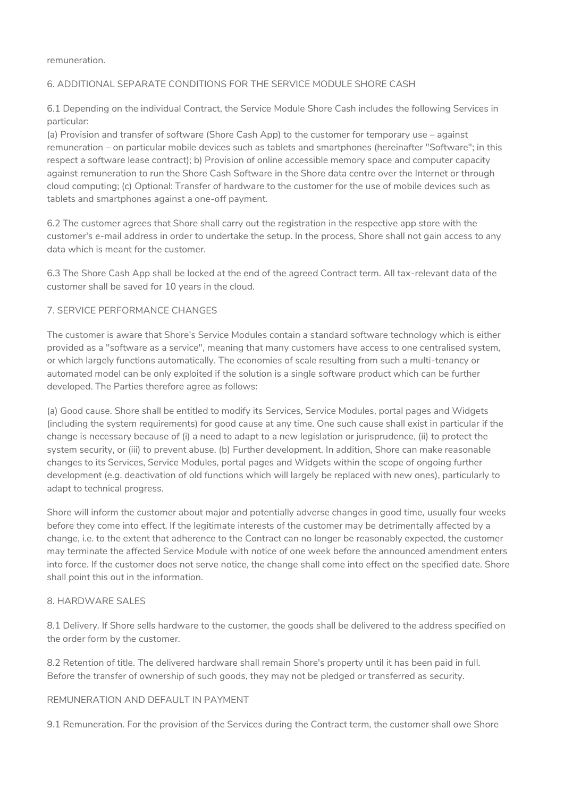remuneration.

## 6. ADDITIONAL SEPARATE CONDITIONS FOR THE SERVICE MODULE SHORE CASH

6.1 Depending on the individual Contract, the Service Module Shore Cash includes the following Services in particular:

(a) Provision and transfer of software (Shore Cash App) to the customer for temporary use – against remuneration – on particular mobile devices such as tablets and smartphones (hereinafter "Software"; in this respect a software lease contract); b) Provision of online accessible memory space and computer capacity against remuneration to run the Shore Cash Software in the Shore data centre over the Internet or through cloud computing; (c) Optional: Transfer of hardware to the customer for the use of mobile devices such as tablets and smartphones against a one-off payment.

6.2 The customer agrees that Shore shall carry out the registration in the respective app store with the customer's e-mail address in order to undertake the setup. In the process, Shore shall not gain access to any data which is meant for the customer.

6.3 The Shore Cash App shall be locked at the end of the agreed Contract term. All tax-relevant data of the customer shall be saved for 10 years in the cloud.

## 7. SERVICE PERFORMANCE CHANGES

The customer is aware that Shore's Service Modules contain a standard software technology which is either provided as a "software as a service", meaning that many customers have access to one centralised system, or which largely functions automatically. The economies of scale resulting from such a multi-tenancy or automated model can be only exploited if the solution is a single software product which can be further developed. The Parties therefore agree as follows:

(a) Good cause. Shore shall be entitled to modify its Services, Service Modules, portal pages and Widgets (including the system requirements) for good cause at any time. One such cause shall exist in particular if the change is necessary because of (i) a need to adapt to a new legislation or jurisprudence, (ii) to protect the system security, or (iii) to prevent abuse. (b) Further development. In addition, Shore can make reasonable changes to its Services, Service Modules, portal pages and Widgets within the scope of ongoing further development (e.g. deactivation of old functions which will largely be replaced with new ones), particularly to adapt to technical progress.

Shore will inform the customer about major and potentially adverse changes in good time, usually four weeks before they come into effect. If the legitimate interests of the customer may be detrimentally affected by a change, i.e. to the extent that adherence to the Contract can no longer be reasonably expected, the customer may terminate the affected Service Module with notice of one week before the announced amendment enters into force. If the customer does not serve notice, the change shall come into effect on the specified date. Shore shall point this out in the information.

## 8. HARDWARE SALES

8.1 Delivery. If Shore sells hardware to the customer, the goods shall be delivered to the address specified on the order form by the customer.

8.2 Retention of title. The delivered hardware shall remain Shore's property until it has been paid in full. Before the transfer of ownership of such goods, they may not be pledged or transferred as security.

## REMUNERATION AND DEFAULT IN PAYMENT

9.1 Remuneration. For the provision of the Services during the Contract term, the customer shall owe Shore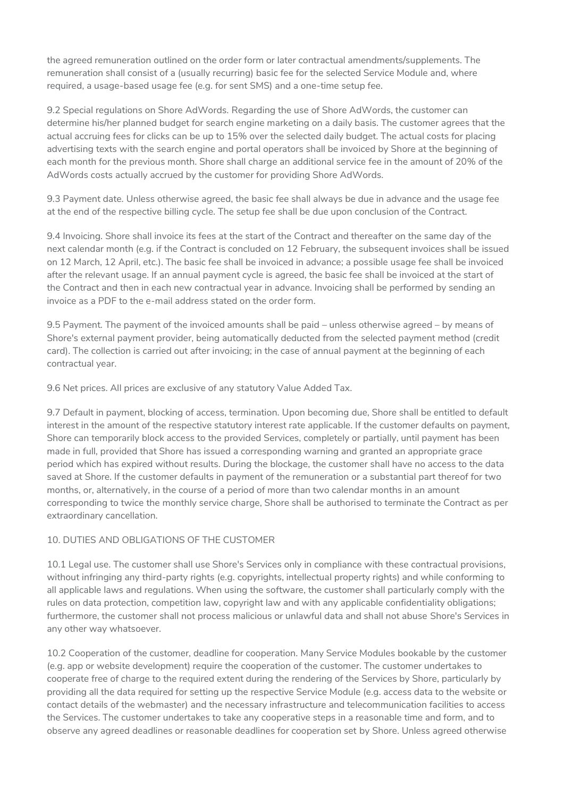the agreed remuneration outlined on the order form or later contractual amendments/supplements. The remuneration shall consist of a (usually recurring) basic fee for the selected Service Module and, where required, a usage-based usage fee (e.g. for sent SMS) and a one-time setup fee.

9.2 Special regulations on Shore AdWords. Regarding the use of Shore AdWords, the customer can determine his/her planned budget for search engine marketing on a daily basis. The customer agrees that the actual accruing fees for clicks can be up to 15% over the selected daily budget. The actual costs for placing advertising texts with the search engine and portal operators shall be invoiced by Shore at the beginning of each month for the previous month. Shore shall charge an additional service fee in the amount of 20% of the AdWords costs actually accrued by the customer for providing Shore AdWords.

9.3 Payment date. Unless otherwise agreed, the basic fee shall always be due in advance and the usage fee at the end of the respective billing cycle. The setup fee shall be due upon conclusion of the Contract.

9.4 Invoicing. Shore shall invoice its fees at the start of the Contract and thereafter on the same day of the next calendar month (e.g. if the Contract is concluded on 12 February, the subsequent invoices shall be issued on 12 March, 12 April, etc.). The basic fee shall be invoiced in advance; a possible usage fee shall be invoiced after the relevant usage. If an annual payment cycle is agreed, the basic fee shall be invoiced at the start of the Contract and then in each new contractual year in advance. Invoicing shall be performed by sending an invoice as a PDF to the e-mail address stated on the order form.

9.5 Payment. The payment of the invoiced amounts shall be paid – unless otherwise agreed – by means of Shore's external payment provider, being automatically deducted from the selected payment method (credit card). The collection is carried out after invoicing; in the case of annual payment at the beginning of each contractual year.

9.6 Net prices. All prices are exclusive of any statutory Value Added Tax.

9.7 Default in payment, blocking of access, termination. Upon becoming due, Shore shall be entitled to default interest in the amount of the respective statutory interest rate applicable. If the customer defaults on payment, Shore can temporarily block access to the provided Services, completely or partially, until payment has been made in full, provided that Shore has issued a corresponding warning and granted an appropriate grace period which has expired without results. During the blockage, the customer shall have no access to the data saved at Shore. If the customer defaults in payment of the remuneration or a substantial part thereof for two months, or, alternatively, in the course of a period of more than two calendar months in an amount corresponding to twice the monthly service charge, Shore shall be authorised to terminate the Contract as per extraordinary cancellation.

## 10. DUTIES AND OBLIGATIONS OF THE CUSTOMER

10.1 Legal use. The customer shall use Shore's Services only in compliance with these contractual provisions, without infringing any third-party rights (e.g. copyrights, intellectual property rights) and while conforming to all applicable laws and regulations. When using the software, the customer shall particularly comply with the rules on data protection, competition law, copyright law and with any applicable confidentiality obligations; furthermore, the customer shall not process malicious or unlawful data and shall not abuse Shore's Services in any other way whatsoever.

10.2 Cooperation of the customer, deadline for cooperation. Many Service Modules bookable by the customer (e.g. app or website development) require the cooperation of the customer. The customer undertakes to cooperate free of charge to the required extent during the rendering of the Services by Shore, particularly by providing all the data required for setting up the respective Service Module (e.g. access data to the website or contact details of the webmaster) and the necessary infrastructure and telecommunication facilities to access the Services. The customer undertakes to take any cooperative steps in a reasonable time and form, and to observe any agreed deadlines or reasonable deadlines for cooperation set by Shore. Unless agreed otherwise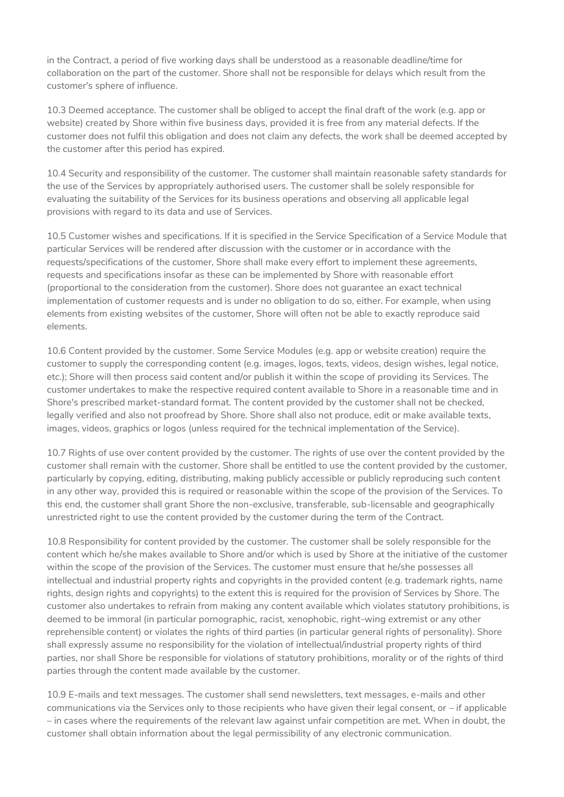in the Contract, a period of five working days shall be understood as a reasonable deadline/time for collaboration on the part of the customer. Shore shall not be responsible for delays which result from the customer's sphere of influence.

10.3 Deemed acceptance. The customer shall be obliged to accept the final draft of the work (e.g. app or website) created by Shore within five business days, provided it is free from any material defects. If the customer does not fulfil this obligation and does not claim any defects, the work shall be deemed accepted by the customer after this period has expired.

10.4 Security and responsibility of the customer. The customer shall maintain reasonable safety standards for the use of the Services by appropriately authorised users. The customer shall be solely responsible for evaluating the suitability of the Services for its business operations and observing all applicable legal provisions with regard to its data and use of Services.

10.5 Customer wishes and specifications. If it is specified in the Service Specification of a Service Module that particular Services will be rendered after discussion with the customer or in accordance with the requests/specifications of the customer, Shore shall make every effort to implement these agreements, requests and specifications insofar as these can be implemented by Shore with reasonable effort (proportional to the consideration from the customer). Shore does not guarantee an exact technical implementation of customer requests and is under no obligation to do so, either. For example, when using elements from existing websites of the customer, Shore will often not be able to exactly reproduce said elements.

10.6 Content provided by the customer. Some Service Modules (e.g. app or website creation) require the customer to supply the corresponding content (e.g. images, logos, texts, videos, design wishes, legal notice, etc.); Shore will then process said content and/or publish it within the scope of providing its Services. The customer undertakes to make the respective required content available to Shore in a reasonable time and in Shore's prescribed market-standard format. The content provided by the customer shall not be checked, legally verified and also not proofread by Shore. Shore shall also not produce, edit or make available texts, images, videos, graphics or logos (unless required for the technical implementation of the Service).

10.7 Rights of use over content provided by the customer. The rights of use over the content provided by the customer shall remain with the customer. Shore shall be entitled to use the content provided by the customer, particularly by copying, editing, distributing, making publicly accessible or publicly reproducing such content in any other way, provided this is required or reasonable within the scope of the provision of the Services. To this end, the customer shall grant Shore the non-exclusive, transferable, sub-licensable and geographically unrestricted right to use the content provided by the customer during the term of the Contract.

10.8 Responsibility for content provided by the customer. The customer shall be solely responsible for the content which he/she makes available to Shore and/or which is used by Shore at the initiative of the customer within the scope of the provision of the Services. The customer must ensure that he/she possesses all intellectual and industrial property rights and copyrights in the provided content (e.g. trademark rights, name rights, design rights and copyrights) to the extent this is required for the provision of Services by Shore. The customer also undertakes to refrain from making any content available which violates statutory prohibitions, is deemed to be immoral (in particular pornographic, racist, xenophobic, right-wing extremist or any other reprehensible content) or violates the rights of third parties (in particular general rights of personality). Shore shall expressly assume no responsibility for the violation of intellectual/industrial property rights of third parties, nor shall Shore be responsible for violations of statutory prohibitions, morality or of the rights of third parties through the content made available by the customer.

10.9 E-mails and text messages. The customer shall send newsletters, text messages, e-mails and other communications via the Services only to those recipients who have given their legal consent, or – if applicable – in cases where the requirements of the relevant law against unfair competition are met. When in doubt, the customer shall obtain information about the legal permissibility of any electronic communication.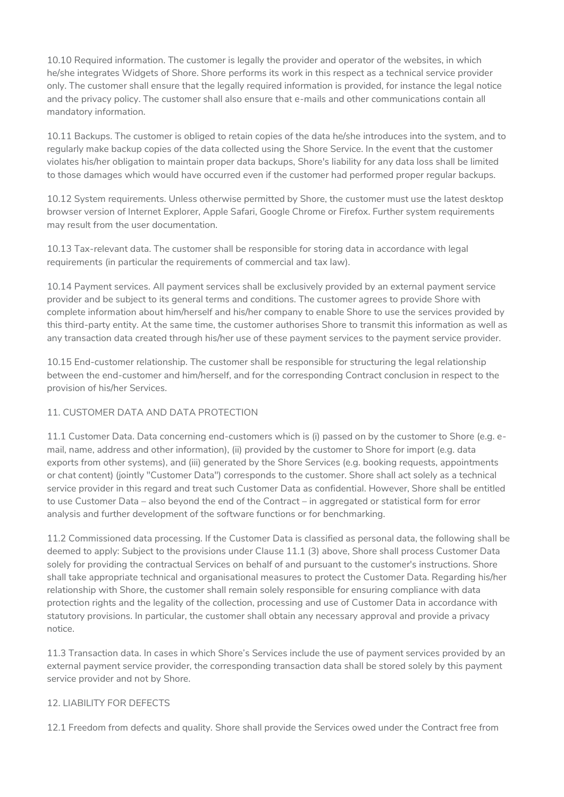10.10 Required information. The customer is legally the provider and operator of the websites, in which he/she integrates Widgets of Shore. Shore performs its work in this respect as a technical service provider only. The customer shall ensure that the legally required information is provided, for instance the legal notice and the privacy policy. The customer shall also ensure that e-mails and other communications contain all mandatory information.

10.11 Backups. The customer is obliged to retain copies of the data he/she introduces into the system, and to regularly make backup copies of the data collected using the Shore Service. In the event that the customer violates his/her obligation to maintain proper data backups, Shore's liability for any data loss shall be limited to those damages which would have occurred even if the customer had performed proper regular backups.

10.12 System requirements. Unless otherwise permitted by Shore, the customer must use the latest desktop browser version of Internet Explorer, Apple Safari, Google Chrome or Firefox. Further system requirements may result from the user documentation.

10.13 Tax-relevant data. The customer shall be responsible for storing data in accordance with legal requirements (in particular the requirements of commercial and tax law).

10.14 Payment services. All payment services shall be exclusively provided by an external payment service provider and be subject to its general terms and conditions. The customer agrees to provide Shore with complete information about him/herself and his/her company to enable Shore to use the services provided by this third-party entity. At the same time, the customer authorises Shore to transmit this information as well as any transaction data created through his/her use of these payment services to the payment service provider.

10.15 End-customer relationship. The customer shall be responsible for structuring the legal relationship between the end-customer and him/herself, and for the corresponding Contract conclusion in respect to the provision of his/her Services.

## 11. CUSTOMER DATA AND DATA PROTECTION

11.1 Customer Data. Data concerning end-customers which is (i) passed on by the customer to Shore (e.g. email, name, address and other information), (ii) provided by the customer to Shore for import (e.g. data exports from other systems), and (iii) generated by the Shore Services (e.g. booking requests, appointments or chat content) (jointly "Customer Data") corresponds to the customer. Shore shall act solely as a technical service provider in this regard and treat such Customer Data as confidential. However, Shore shall be entitled to use Customer Data – also beyond the end of the Contract – in aggregated or statistical form for error analysis and further development of the software functions or for benchmarking.

11.2 Commissioned data processing. If the Customer Data is classified as personal data, the following shall be deemed to apply: Subject to the provisions under Clause 11.1 (3) above, Shore shall process Customer Data solely for providing the contractual Services on behalf of and pursuant to the customer's instructions. Shore shall take appropriate technical and organisational measures to protect the Customer Data. Regarding his/her relationship with Shore, the customer shall remain solely responsible for ensuring compliance with data protection rights and the legality of the collection, processing and use of Customer Data in accordance with statutory provisions. In particular, the customer shall obtain any necessary approval and provide a privacy notice.

11.3 Transaction data. In cases in which Shore's Services include the use of payment services provided by an external payment service provider, the corresponding transaction data shall be stored solely by this payment service provider and not by Shore.

## 12. LIABILITY FOR DEFECTS

12.1 Freedom from defects and quality. Shore shall provide the Services owed under the Contract free from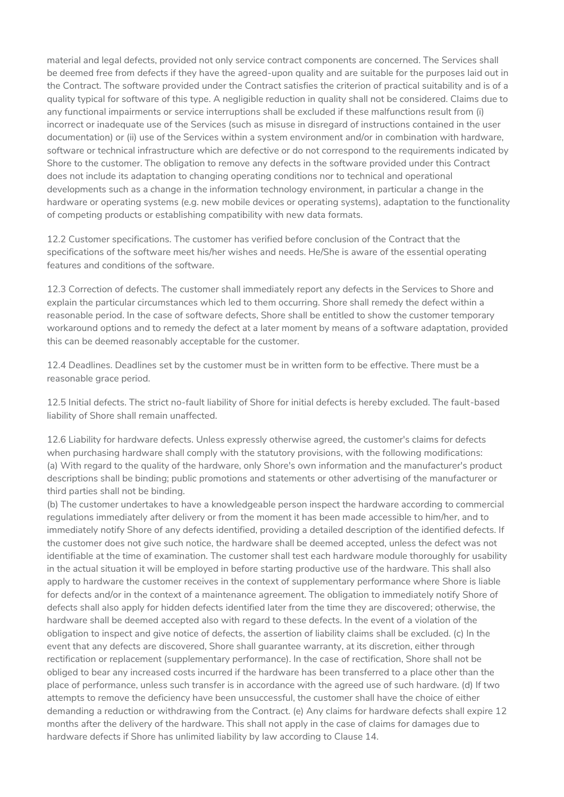material and legal defects, provided not only service contract components are concerned. The Services shall be deemed free from defects if they have the agreed-upon quality and are suitable for the purposes laid out in the Contract. The software provided under the Contract satisfies the criterion of practical suitability and is of a quality typical for software of this type. A negligible reduction in quality shall not be considered. Claims due to any functional impairments or service interruptions shall be excluded if these malfunctions result from (i) incorrect or inadequate use of the Services (such as misuse in disregard of instructions contained in the user documentation) or (ii) use of the Services within a system environment and/or in combination with hardware, software or technical infrastructure which are defective or do not correspond to the requirements indicated by Shore to the customer. The obligation to remove any defects in the software provided under this Contract does not include its adaptation to changing operating conditions nor to technical and operational developments such as a change in the information technology environment, in particular a change in the hardware or operating systems (e.g. new mobile devices or operating systems), adaptation to the functionality of competing products or establishing compatibility with new data formats.

12.2 Customer specifications. The customer has verified before conclusion of the Contract that the specifications of the software meet his/her wishes and needs. He/She is aware of the essential operating features and conditions of the software.

12.3 Correction of defects. The customer shall immediately report any defects in the Services to Shore and explain the particular circumstances which led to them occurring. Shore shall remedy the defect within a reasonable period. In the case of software defects, Shore shall be entitled to show the customer temporary workaround options and to remedy the defect at a later moment by means of a software adaptation, provided this can be deemed reasonably acceptable for the customer.

12.4 Deadlines. Deadlines set by the customer must be in written form to be effective. There must be a reasonable grace period.

12.5 Initial defects. The strict no-fault liability of Shore for initial defects is hereby excluded. The fault-based liability of Shore shall remain unaffected.

12.6 Liability for hardware defects. Unless expressly otherwise agreed, the customer's claims for defects when purchasing hardware shall comply with the statutory provisions, with the following modifications: (a) With regard to the quality of the hardware, only Shore's own information and the manufacturer's product descriptions shall be binding; public promotions and statements or other advertising of the manufacturer or third parties shall not be binding.

(b) The customer undertakes to have a knowledgeable person inspect the hardware according to commercial regulations immediately after delivery or from the moment it has been made accessible to him/her, and to immediately notify Shore of any defects identified, providing a detailed description of the identified defects. If the customer does not give such notice, the hardware shall be deemed accepted, unless the defect was not identifiable at the time of examination. The customer shall test each hardware module thoroughly for usability in the actual situation it will be employed in before starting productive use of the hardware. This shall also apply to hardware the customer receives in the context of supplementary performance where Shore is liable for defects and/or in the context of a maintenance agreement. The obligation to immediately notify Shore of defects shall also apply for hidden defects identified later from the time they are discovered; otherwise, the hardware shall be deemed accepted also with regard to these defects. In the event of a violation of the obligation to inspect and give notice of defects, the assertion of liability claims shall be excluded. (c) In the event that any defects are discovered, Shore shall guarantee warranty, at its discretion, either through rectification or replacement (supplementary performance). In the case of rectification, Shore shall not be obliged to bear any increased costs incurred if the hardware has been transferred to a place other than the place of performance, unless such transfer is in accordance with the agreed use of such hardware. (d) If two attempts to remove the deficiency have been unsuccessful, the customer shall have the choice of either demanding a reduction or withdrawing from the Contract. (e) Any claims for hardware defects shall expire 12 months after the delivery of the hardware. This shall not apply in the case of claims for damages due to hardware defects if Shore has unlimited liability by law according to Clause 14.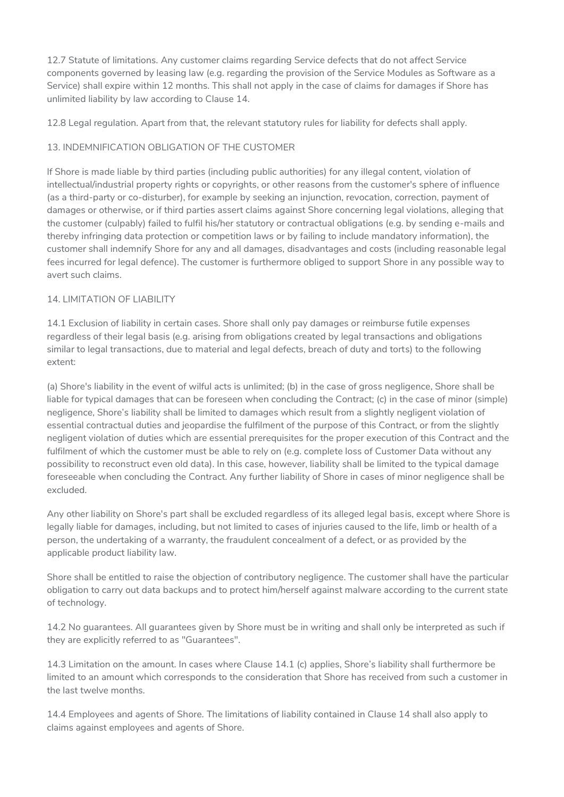12.7 Statute of limitations. Any customer claims regarding Service defects that do not affect Service components governed by leasing law (e.g. regarding the provision of the Service Modules as Software as a Service) shall expire within 12 months. This shall not apply in the case of claims for damages if Shore has unlimited liability by law according to Clause 14.

12.8 Legal regulation. Apart from that, the relevant statutory rules for liability for defects shall apply.

# 13. INDEMNIFICATION OBLIGATION OF THE CUSTOMER

If Shore is made liable by third parties (including public authorities) for any illegal content, violation of intellectual/industrial property rights or copyrights, or other reasons from the customer's sphere of influence (as a third-party or co-disturber), for example by seeking an injunction, revocation, correction, payment of damages or otherwise, or if third parties assert claims against Shore concerning legal violations, alleging that the customer (culpably) failed to fulfil his/her statutory or contractual obligations (e.g. by sending e-mails and thereby infringing data protection or competition laws or by failing to include mandatory information), the customer shall indemnify Shore for any and all damages, disadvantages and costs (including reasonable legal fees incurred for legal defence). The customer is furthermore obliged to support Shore in any possible way to avert such claims.

## 14. LIMITATION OF LIABILITY

14.1 Exclusion of liability in certain cases. Shore shall only pay damages or reimburse futile expenses regardless of their legal basis (e.g. arising from obligations created by legal transactions and obligations similar to legal transactions, due to material and legal defects, breach of duty and torts) to the following extent:

(a) Shore's liability in the event of wilful acts is unlimited; (b) in the case of gross negligence, Shore shall be liable for typical damages that can be foreseen when concluding the Contract; (c) in the case of minor (simple) negligence, Shore's liability shall be limited to damages which result from a slightly negligent violation of essential contractual duties and jeopardise the fulfilment of the purpose of this Contract, or from the slightly negligent violation of duties which are essential prerequisites for the proper execution of this Contract and the fulfilment of which the customer must be able to rely on (e.g. complete loss of Customer Data without any possibility to reconstruct even old data). In this case, however, liability shall be limited to the typical damage foreseeable when concluding the Contract. Any further liability of Shore in cases of minor negligence shall be excluded.

Any other liability on Shore's part shall be excluded regardless of its alleged legal basis, except where Shore is legally liable for damages, including, but not limited to cases of injuries caused to the life, limb or health of a person, the undertaking of a warranty, the fraudulent concealment of a defect, or as provided by the applicable product liability law.

Shore shall be entitled to raise the objection of contributory negligence. The customer shall have the particular obligation to carry out data backups and to protect him/herself against malware according to the current state of technology.

14.2 No guarantees. All guarantees given by Shore must be in writing and shall only be interpreted as such if they are explicitly referred to as "Guarantees".

14.3 Limitation on the amount. In cases where Clause 14.1 (c) applies, Shore's liability shall furthermore be limited to an amount which corresponds to the consideration that Shore has received from such a customer in the last twelve months.

14.4 Employees and agents of Shore. The limitations of liability contained in Clause 14 shall also apply to claims against employees and agents of Shore.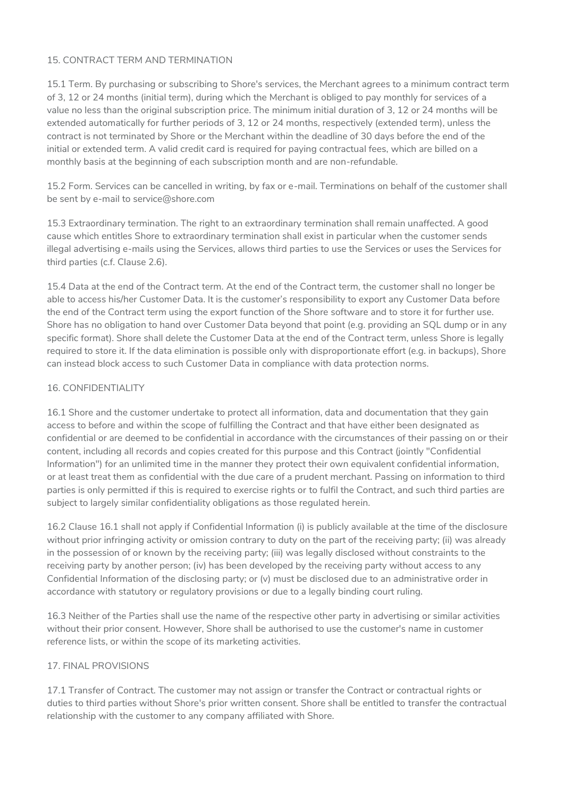## 15. CONTRACT TERM AND TERMINATION

15.1 Term. By purchasing or subscribing to Shore's services, the Merchant agrees to a minimum contract term of 3, 12 or 24 months (initial term), during which the Merchant is obliged to pay monthly for services of a value no less than the original subscription price. The minimum initial duration of 3, 12 or 24 months will be extended automatically for further periods of 3, 12 or 24 months, respectively (extended term), unless the contract is not terminated by Shore or the Merchant within the deadline of 30 days before the end of the initial or extended term. A valid credit card is required for paying contractual fees, which are billed on a monthly basis at the beginning of each subscription month and are non-refundable.

15.2 Form. Services can be cancelled in writing, by fax or e-mail. Terminations on behalf of the customer shall be sent by e-mail to service@shore.com

15.3 Extraordinary termination. The right to an extraordinary termination shall remain unaffected. A good cause which entitles Shore to extraordinary termination shall exist in particular when the customer sends illegal advertising e-mails using the Services, allows third parties to use the Services or uses the Services for third parties (c.f. Clause 2.6).

15.4 Data at the end of the Contract term. At the end of the Contract term, the customer shall no longer be able to access his/her Customer Data. It is the customer's responsibility to export any Customer Data before the end of the Contract term using the export function of the Shore software and to store it for further use. Shore has no obligation to hand over Customer Data beyond that point (e.g. providing an SQL dump or in any specific format). Shore shall delete the Customer Data at the end of the Contract term, unless Shore is legally required to store it. If the data elimination is possible only with disproportionate effort (e.g. in backups), Shore can instead block access to such Customer Data in compliance with data protection norms.

## 16. CONFIDENTIALITY

16.1 Shore and the customer undertake to protect all information, data and documentation that they gain access to before and within the scope of fulfilling the Contract and that have either been designated as confidential or are deemed to be confidential in accordance with the circumstances of their passing on or their content, including all records and copies created for this purpose and this Contract (jointly "Confidential Information") for an unlimited time in the manner they protect their own equivalent confidential information, or at least treat them as confidential with the due care of a prudent merchant. Passing on information to third parties is only permitted if this is required to exercise rights or to fulfil the Contract, and such third parties are subject to largely similar confidentiality obligations as those regulated herein.

16.2 Clause 16.1 shall not apply if Confidential Information (i) is publicly available at the time of the disclosure without prior infringing activity or omission contrary to duty on the part of the receiving party; (ii) was already in the possession of or known by the receiving party; (iii) was legally disclosed without constraints to the receiving party by another person; (iv) has been developed by the receiving party without access to any Confidential Information of the disclosing party; or (v) must be disclosed due to an administrative order in accordance with statutory or regulatory provisions or due to a legally binding court ruling.

16.3 Neither of the Parties shall use the name of the respective other party in advertising or similar activities without their prior consent. However, Shore shall be authorised to use the customer's name in customer reference lists, or within the scope of its marketing activities.

## 17. FINAL PROVISIONS

17.1 Transfer of Contract. The customer may not assign or transfer the Contract or contractual rights or duties to third parties without Shore's prior written consent. Shore shall be entitled to transfer the contractual relationship with the customer to any company affiliated with Shore.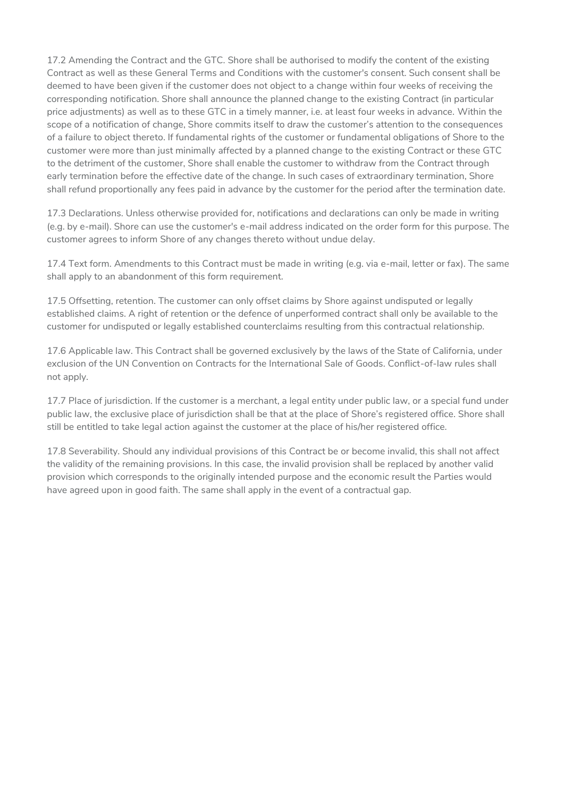17.2 Amending the Contract and the GTC. Shore shall be authorised to modify the content of the existing Contract as well as these General Terms and Conditions with the customer's consent. Such consent shall be deemed to have been given if the customer does not object to a change within four weeks of receiving the corresponding notification. Shore shall announce the planned change to the existing Contract (in particular price adjustments) as well as to these GTC in a timely manner, i.e. at least four weeks in advance. Within the scope of a notification of change, Shore commits itself to draw the customer's attention to the consequences of a failure to object thereto. If fundamental rights of the customer or fundamental obligations of Shore to the customer were more than just minimally affected by a planned change to the existing Contract or these GTC to the detriment of the customer, Shore shall enable the customer to withdraw from the Contract through early termination before the effective date of the change. In such cases of extraordinary termination, Shore shall refund proportionally any fees paid in advance by the customer for the period after the termination date.

17.3 Declarations. Unless otherwise provided for, notifications and declarations can only be made in writing (e.g. by e-mail). Shore can use the customer's e-mail address indicated on the order form for this purpose. The customer agrees to inform Shore of any changes thereto without undue delay.

17.4 Text form. Amendments to this Contract must be made in writing (e.g. via e-mail, letter or fax). The same shall apply to an abandonment of this form requirement.

17.5 Offsetting, retention. The customer can only offset claims by Shore against undisputed or legally established claims. A right of retention or the defence of unperformed contract shall only be available to the customer for undisputed or legally established counterclaims resulting from this contractual relationship.

17.6 Applicable law. This Contract shall be governed exclusively by the laws of the State of California, under exclusion of the UN Convention on Contracts for the International Sale of Goods. Conflict-of-law rules shall not apply.

17.7 Place of jurisdiction. If the customer is a merchant, a legal entity under public law, or a special fund under public law, the exclusive place of jurisdiction shall be that at the place of Shore's registered office. Shore shall still be entitled to take legal action against the customer at the place of his/her registered office.

17.8 Severability. Should any individual provisions of this Contract be or become invalid, this shall not affect the validity of the remaining provisions. In this case, the invalid provision shall be replaced by another valid provision which corresponds to the originally intended purpose and the economic result the Parties would have agreed upon in good faith. The same shall apply in the event of a contractual gap.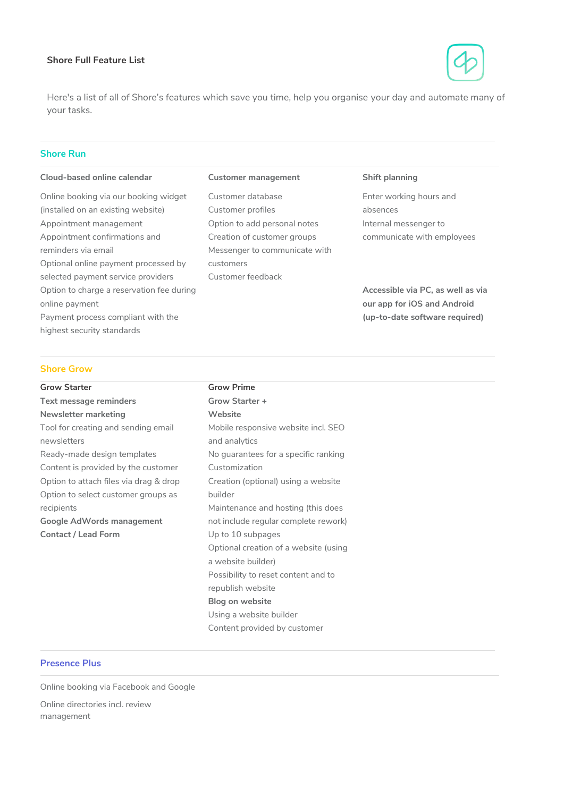#### <span id="page-12-0"></span>**Shore Full Feature List**



Here's a list of all of Shore's features which save you time, help you organise your day and automate many of your tasks.

## **Shore Run**

#### **Cloud-based online calendar**

Online booking via our booking widget (installed on an existing website) Appointment management Appointment confirmations and reminders via email Optional online payment processed by selected payment service providers Option to charge a reservation fee during online payment Payment process compliant with the highest security standards

#### **Customer management**

Using a website builder Content provided by customer

Customer database Customer profiles Option to add personal notes Creation of customer groups Messenger to communicate with customers Customer feedback

#### **Shift planning**

Enter working hours and absences Internal messenger to communicate with employees

**Accessible via PC, as well as via our app for iOS and Android (up-to-date software required)**

#### **Shore Grow**

| <b>Grow Starter</b>                    | <b>Grow Prime</b>                     |  |
|----------------------------------------|---------------------------------------|--|
| <b>Text message reminders</b>          | Grow Starter +                        |  |
| Newsletter marketing                   | Website                               |  |
| Tool for creating and sending email    | Mobile responsive website incl. SEO   |  |
| newsletters                            | and analytics                         |  |
| Ready-made design templates            | No guarantees for a specific ranking  |  |
| Content is provided by the customer    | Customization                         |  |
| Option to attach files via drag & drop | Creation (optional) using a website   |  |
| Option to select customer groups as    | builder                               |  |
| recipients                             | Maintenance and hosting (this does    |  |
| Google AdWords management              | not include regular complete rework)  |  |
| <b>Contact / Lead Form</b>             | Up to 10 subpages                     |  |
|                                        | Optional creation of a website (using |  |
|                                        | a website builder)                    |  |
|                                        | Possibility to reset content and to   |  |
|                                        | republish website                     |  |
|                                        | Blog on website                       |  |

#### **Presence Plus**

Online booking via Facebook and Google

Online directories incl. review management